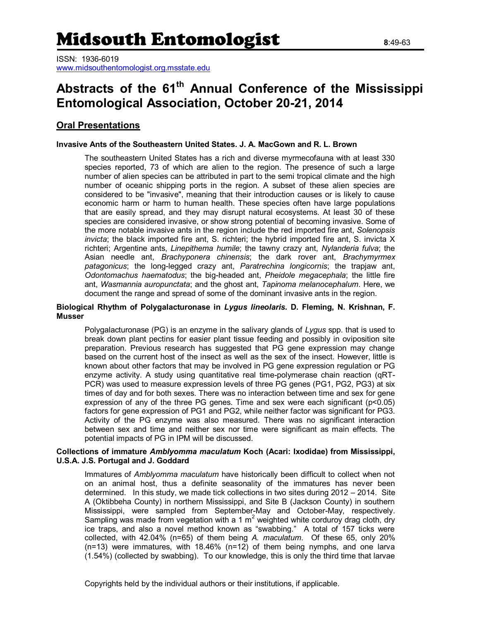ISSN: 1936-6019 [www.midsouthentomologist.org.msstate.edu](http://www.midsouthentomologist.org.msstate.edu/)

# **Abstracts of the 61th Annual Conference of the Mississippi Entomological Association, October 20-21, 2014**

## **Oral Presentations**

## **Invasive Ants of the Southeastern United States. J. A. MacGown and R. L. Brown**

The southeastern United States has a rich and diverse myrmecofauna with at least 330 species reported, 73 of which are alien to the region. The presence of such a large number of alien species can be attributed in part to the semi tropical climate and the high number of oceanic shipping ports in the region. A subset of these alien species are considered to be "invasive", meaning that their introduction causes or is likely to cause economic harm or harm to human health. These species often have large populations that are easily spread, and they may disrupt natural ecosystems. At least 30 of these species are considered invasive, or show strong potential of becoming invasive. Some of the more notable invasive ants in the region include the red imported fire ant, *Solenopsis invicta*; the black imported fire ant, S. richteri; the hybrid imported fire ant, S. invicta X richteri; Argentine ants, *Linepithema humile*; the tawny crazy ant, *Nylanderia fulva*; the Asian needle ant, *Brachyponera chinensis*; the dark rover ant, *Brachymyrmex patagonicus*; the long-legged crazy ant, *Paratrechina longicornis*; the trapjaw ant, *Odontomachus haematodus*; the big-headed ant, *Pheidole megacephala*; the little fire ant, *Wasmannia auropunctata*; and the ghost ant, *Tapinoma melanocephalum*. Here, we document the range and spread of some of the dominant invasive ants in the region.

## **Biological Rhythm of Polygalacturonase in** *Lygus lineolaris***. D. Fleming, N. Krishnan, F. Musser**

Polygalacturonase (PG) is an enzyme in the salivary glands of *Lygus* spp. that is used to break down plant pectins for easier plant tissue feeding and possibly in oviposition site preparation. Previous research has suggested that PG gene expression may change based on the current host of the insect as well as the sex of the insect. However, little is known about other factors that may be involved in PG gene expression regulation or PG enzyme activity. A study using quantitative real time-polymerase chain reaction (qRT-PCR) was used to measure expression levels of three PG genes (PG1, PG2, PG3) at six times of day and for both sexes. There was no interaction between time and sex for gene expression of any of the three PG genes. Time and sex were each significant (p<0.05) factors for gene expression of PG1 and PG2, while neither factor was significant for PG3. Activity of the PG enzyme was also measured. There was no significant interaction between sex and time and neither sex nor time were significant as main effects. The potential impacts of PG in IPM will be discussed.

## **Collections of immature** *Amblyomma maculatum* **Koch (Acari: Ixodidae) from Mississippi, U.S.A. J.S. Portugal and J. Goddard**

Immatures of *Amblyomma maculatum* have historically been difficult to collect when not on an animal host, thus a definite seasonality of the immatures has never been determined. In this study, we made tick collections in two sites during 2012 – 2014. Site A (Oktibbeha County) in northern Mississippi, and Site B (Jackson County) in southern Mississippi, were sampled from September-May and October-May, respectively. Sampling was made from vegetation with a 1  $m^2$  weighted white corduroy drag cloth, dry ice traps, and also a novel method known as "swabbing." A total of 157 ticks were collected, with 42.04% (n=65) of them being *A. maculatum*. Of these 65, only 20% (n=13) were immatures, with 18.46% (n=12) of them being nymphs, and one larva (1.54%) (collected by swabbing). To our knowledge, this is only the third time that larvae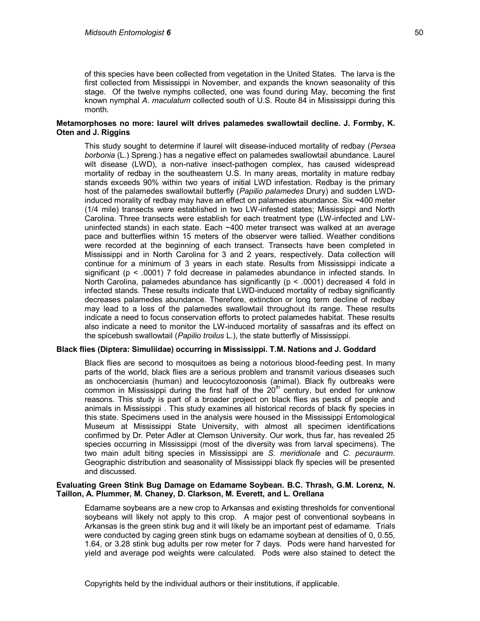of this species have been collected from vegetation in the United States. The larva is the first collected from Mississippi in November, and expands the known seasonality of this stage. Of the twelve nymphs collected, one was found during May, becoming the first known nymphal *A. maculatum* collected south of U.S. Route 84 in Mississippi during this month.

## **Metamorphoses no more: laurel wilt drives palamedes swallowtail decline. J. Formby, K. Oten and J. Riggins**

This study sought to determine if laurel wilt disease-induced mortality of redbay (*Persea borbonia* (L.) Spreng.) has a negative effect on palamedes swallowtail abundance. Laurel wilt disease (LWD), a non-native insect-pathogen complex, has caused widespread mortality of redbay in the southeastern U.S. In many areas, mortality in mature redbay stands exceeds 90% within two years of initial LWD infestation. Redbay is the primary host of the palamedes swallowtail butterfly (*Papilio palamedes* Drury) and sudden LWDinduced morality of redbay may have an effect on palamedes abundance. Six **~**400 meter (1/4 mile) transects were established in two LW-infested states; Mississippi and North Carolina. Three transects were establish for each treatment type (LW-infected and LWuninfected stands) in each state. Each ~400 meter transect was walked at an average pace and butterflies within 15 meters of the observer were tallied. Weather conditions were recorded at the beginning of each transect. Transects have been completed in Mississippi and in North Carolina for 3 and 2 years, respectively. Data collection will continue for a minimum of 3 years in each state. Results from Mississippi indicate a significant (p < .0001) 7 fold decrease in palamedes abundance in infected stands. In North Carolina, palamedes abundance has significantly ( $p < .0001$ ) decreased 4 fold in infected stands. These results indicate that LWD-induced mortality of redbay significantly decreases palamedes abundance. Therefore, extinction or long term decline of redbay may lead to a loss of the palamedes swallowtail throughout its range. These results indicate a need to focus conservation efforts to protect palamedes habitat. These results also indicate a need to monitor the LW-induced mortality of sassafras and its effect on the spicebush swallowtail (*Papilio troilus* L.), the state butterfly of Mississippi.

## **Black flies (Diptera: Simuliidae) occurring in Mississippi. T.M. Nations and J. Goddard**

Black flies are second to mosquitoes as being a notorious blood-feeding pest. In many parts of the world, black flies are a serious problem and transmit various diseases such as onchocerciasis (human) and leucocytozoonosis (animal). Black fly outbreaks were common in Mississippi during the first half of the  $20<sup>th</sup>$  century, but ended for unknow reasons. This study is part of a broader project on black flies as pests of people and animals in Mississippi . This study examines all historical records of black fly species in this state. Specimens used in the analysis were housed in the Mississippi Entomological Museum at Mississippi State University, with almost all specimen identifications confirmed by Dr. Peter Adler at Clemson University. Our work, thus far, has revealed 25 species occurring in Mississippi (most of the diversity was from larval specimens). The two main adult biting species in Mississippi are *S. meridionale* and *C. pecuraurm*. Geographic distribution and seasonality of Mississippi black fly species will be presented and discussed.

## **Evaluating Green Stink Bug Damage on Edamame Soybean. B.C. Thrash, G.M. Lorenz, N. Taillon, A. Plummer, M. Chaney, D. Clarkson, M. Everett, and L. Orellana**

Edamame soybeans are a new crop to Arkansas and existing thresholds for conventional soybeans will likely not apply to this crop. A major pest of conventional soybeans in Arkansas is the green stink bug and it will likely be an important pest of edamame. Trials were conducted by caging green stink bugs on edamame soybean at densities of 0, 0.55, 1.64, or 3.28 stink bug adults per row meter for 7 days. Pods were hand harvested for yield and average pod weights were calculated. Pods were also stained to detect the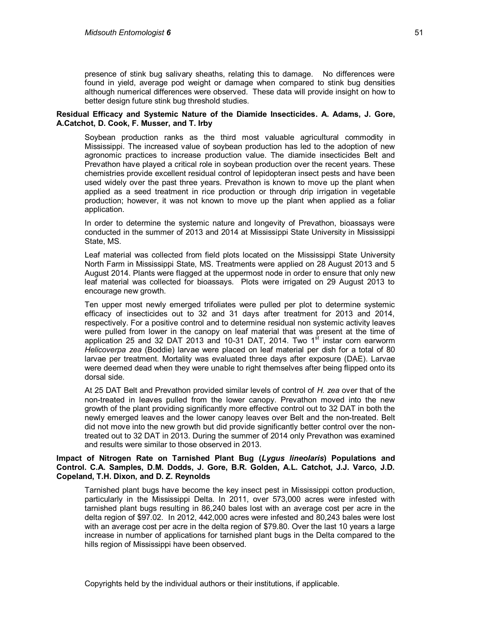presence of stink bug salivary sheaths, relating this to damage. No differences were found in yield, average pod weight or damage when compared to stink bug densities although numerical differences were observed. These data will provide insight on how to better design future stink bug threshold studies.

## **Residual Efficacy and Systemic Nature of the Diamide Insecticides. A. Adams, J. Gore, A.Catchot, D. Cook, F. Musser, and T. Irby**

Soybean production ranks as the third most valuable agricultural commodity in Mississippi. The increased value of soybean production has led to the adoption of new agronomic practices to increase production value. The diamide insecticides Belt and Prevathon have played a critical role in soybean production over the recent years. These chemistries provide excellent residual control of lepidopteran insect pests and have been used widely over the past three years. Prevathon is known to move up the plant when applied as a seed treatment in rice production or through drip irrigation in vegetable production; however, it was not known to move up the plant when applied as a foliar application.

In order to determine the systemic nature and longevity of Prevathon, bioassays were conducted in the summer of 2013 and 2014 at Mississippi State University in Mississippi State, MS.

Leaf material was collected from field plots located on the Mississippi State University North Farm in Mississippi State, MS. Treatments were applied on 28 August 2013 and 5 August 2014. Plants were flagged at the uppermost node in order to ensure that only new leaf material was collected for bioassays. Plots were irrigated on 29 August 2013 to encourage new growth.

Ten upper most newly emerged trifoliates were pulled per plot to determine systemic efficacy of insecticides out to 32 and 31 days after treatment for 2013 and 2014, respectively. For a positive control and to determine residual non systemic activity leaves were pulled from lower in the canopy on leaf material that was present at the time of application 25 and 32 DAT 2013 and 10-31 DAT, 2014. Two  $1<sup>st</sup>$  instar corn earworm *Helicoverpa zea* (Boddie) larvae were placed on leaf material per dish for a total of 80 larvae per treatment. Mortality was evaluated three days after exposure (DAE). Larvae were deemed dead when they were unable to right themselves after being flipped onto its dorsal side.

At 25 DAT Belt and Prevathon provided similar levels of control of *H. zea* over that of the non-treated in leaves pulled from the lower canopy. Prevathon moved into the new growth of the plant providing significantly more effective control out to 32 DAT in both the newly emerged leaves and the lower canopy leaves over Belt and the non-treated. Belt did not move into the new growth but did provide significantly better control over the nontreated out to 32 DAT in 2013. During the summer of 2014 only Prevathon was examined and results were similar to those observed in 2013.

## **Impact of Nitrogen Rate on Tarnished Plant Bug (***Lygus lineolaris***) Populations and Control. C.A. Samples, D.M. Dodds, J. Gore, B.R. Golden, A.L. Catchot, J.J. Varco, J.D. Copeland, T.H. Dixon, and D. Z. Reynolds**

Tarnished plant bugs have become the key insect pest in Mississippi cotton production, particularly in the Mississippi Delta. In 2011, over 573,000 acres were infested with tarnished plant bugs resulting in 86,240 bales lost with an average cost per acre in the delta region of \$97.02. In 2012, 442,000 acres were infested and 80,243 bales were lost with an average cost per acre in the delta region of \$79.80. Over the last 10 years a large increase in number of applications for tarnished plant bugs in the Delta compared to the hills region of Mississippi have been observed.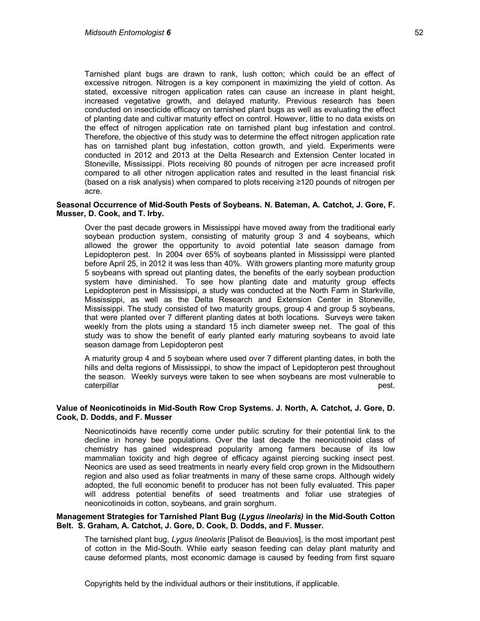Tarnished plant bugs are drawn to rank, lush cotton; which could be an effect of excessive nitrogen. Nitrogen is a key component in maximizing the yield of cotton. As stated, excessive nitrogen application rates can cause an increase in plant height, increased vegetative growth, and delayed maturity. Previous research has been conducted on insecticide efficacy on tarnished plant bugs as well as evaluating the effect of planting date and cultivar maturity effect on control. However, little to no data exists on the effect of nitrogen application rate on tarnished plant bug infestation and control. Therefore, the objective of this study was to determine the effect nitrogen application rate has on tarnished plant bug infestation, cotton growth, and yield. Experiments were conducted in 2012 and 2013 at the Delta Research and Extension Center located in Stoneville, Mississippi. Plots receiving 80 pounds of nitrogen per acre increased profit compared to all other nitrogen application rates and resulted in the least financial risk (based on a risk analysis) when compared to plots receiving ≥120 pounds of nitrogen per acre.

## **Seasonal Occurrence of Mid-South Pests of Soybeans. N. Bateman, A. Catchot, J. Gore, F. Musser, D. Cook, and T. Irby.**

Over the past decade growers in Mississippi have moved away from the traditional early soybean production system, consisting of maturity group 3 and 4 soybeans, which allowed the grower the opportunity to avoid potential late season damage from Lepidopteron pest. In 2004 over 65% of soybeans planted in Mississippi were planted before April 25, in 2012 it was less than 40%. With growers planting more maturity group 5 soybeans with spread out planting dates, the benefits of the early soybean production system have diminished. To see how planting date and maturity group effects Lepidopteron pest in Mississippi, a study was conducted at the North Farm in Starkville, Mississippi, as well as the Delta Research and Extension Center in Stoneville, Mississippi. The study consisted of two maturity groups, group 4 and group 5 soybeans, that were planted over 7 different planting dates at both locations. Surveys were taken weekly from the plots using a standard 15 inch diameter sweep net. The goal of this study was to show the benefit of early planted early maturing soybeans to avoid late season damage from Lepidopteron pest

A maturity group 4 and 5 soybean where used over 7 different planting dates, in both the hills and delta regions of Mississippi, to show the impact of Lepidopteron pest throughout the season. Weekly surveys were taken to see when soybeans are most vulnerable to caterpillar pest. And the set of the set of the set of the set of the set of the set of the set of the set of the set of the set of the set of the set of the set of the set of the set of the set of the set of the set of th

## **Value of Neonicotinoids in Mid-South Row Crop Systems. J. North, A. Catchot, J. Gore, D. Cook, D. Dodds, and F. Musser**

Neonicotinoids have recently come under public scrutiny for their potential link to the decline in honey bee populations. Over the last decade the neonicotinoid class of chemistry has gained widespread popularity among farmers because of its low mammalian toxicity and high degree of efficacy against piercing sucking insect pest. Neonics are used as seed treatments in nearly every field crop grown in the Midsouthern region and also used as foliar treatments in many of these same crops. Although widely adopted, the full economic benefit to producer has not been fully evaluated. This paper will address potential benefits of seed treatments and foliar use strategies of neonicotinoids in cotton, soybeans, and grain sorghum.

## **Management Strategies for Tarnished Plant Bug (***Lygus lineolaris)* **in the Mid-South Cotton Belt. S. Graham, A. Catchot, J. Gore, D. Cook, D. Dodds, and F. Musser.**

The tarnished plant bug, *Lygus lineolaris* [Palisot de Beauvios], is the most important pest of cotton in the Mid-South. While early season feeding can delay plant maturity and cause deformed plants, most economic damage is caused by feeding from first square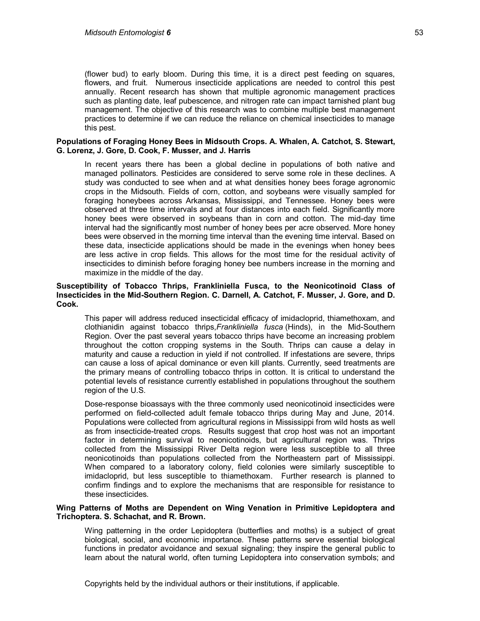(flower bud) to early bloom. During this time, it is a direct pest feeding on squares, flowers, and fruit. Numerous insecticide applications are needed to control this pest annually. Recent research has shown that multiple agronomic management practices such as planting date, leaf pubescence, and nitrogen rate can impact tarnished plant bug management. The objective of this research was to combine multiple best management practices to determine if we can reduce the reliance on chemical insecticides to manage this pest.

## **Populations of Foraging Honey Bees in Midsouth Crops. A. Whalen, A. Catchot, S. Stewart, G. Lorenz, J. Gore, D. Cook, F. Musser, and J. Harris**

In recent years there has been a global decline in populations of both native and managed pollinators. Pesticides are considered to serve some role in these declines. A study was conducted to see when and at what densities honey bees forage agronomic crops in the Midsouth. Fields of corn, cotton, and soybeans were visually sampled for foraging honeybees across Arkansas, Mississippi, and Tennessee. Honey bees were observed at three time intervals and at four distances into each field. Significantly more honey bees were observed in soybeans than in corn and cotton. The mid-day time interval had the significantly most number of honey bees per acre observed. More honey bees were observed in the morning time interval than the evening time interval. Based on these data, insecticide applications should be made in the evenings when honey bees are less active in crop fields. This allows for the most time for the residual activity of insecticides to diminish before foraging honey bee numbers increase in the morning and maximize in the middle of the day.

## **Susceptibility of Tobacco Thrips, Frankliniella Fusca, to the Neonicotinoid Class of Insecticides in the Mid-Southern Region. C. Darnell, A. Catchot, F. Musser, J. Gore, and D. Cook.**

This paper will address reduced insecticidal efficacy of imidacloprid, thiamethoxam, and clothianidin against tobacco thrips,*Frankliniella fusca* (Hinds), in the Mid-Southern Region. Over the past several years tobacco thrips have become an increasing problem throughout the cotton cropping systems in the South. Thrips can cause a delay in maturity and cause a reduction in yield if not controlled. If infestations are severe, thrips can cause a loss of apical dominance or even kill plants. Currently, seed treatments are the primary means of controlling tobacco thrips in cotton. It is critical to understand the potential levels of resistance currently established in populations throughout the southern region of the U.S.

Dose-response bioassays with the three commonly used neonicotinoid insecticides were performed on field-collected adult female tobacco thrips during May and June, 2014. Populations were collected from agricultural regions in Mississippi from wild hosts as well as from insecticide-treated crops. Results suggest that crop host was not an important factor in determining survival to neonicotinoids, but agricultural region was. Thrips collected from the Mississippi River Delta region were less susceptible to all three neonicotinoids than populations collected from the Northeastern part of Mississippi. When compared to a laboratory colony, field colonies were similarly susceptible to imidacloprid, but less susceptible to thiamethoxam. Further research is planned to confirm findings and to explore the mechanisms that are responsible for resistance to these insecticides.

## **Wing Patterns of Moths are Dependent on Wing Venation in Primitive Lepidoptera and Trichoptera. S. Schachat, and R. Brown.**

Wing patterning in the order Lepidoptera (butterflies and moths) is a subject of great biological, social, and economic importance. These patterns serve essential biological functions in predator avoidance and sexual signaling; they inspire the general public to learn about the natural world, often turning Lepidoptera into conservation symbols; and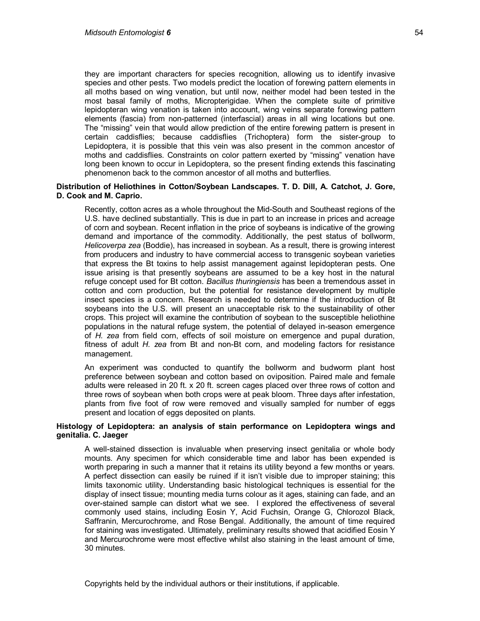they are important characters for species recognition, allowing us to identify invasive species and other pests. Two models predict the location of forewing pattern elements in all moths based on wing venation, but until now, neither model had been tested in the most basal family of moths, Micropterigidae. When the complete suite of primitive lepidopteran wing venation is taken into account, wing veins separate forewing pattern elements (fascia) from non-patterned (interfascial) areas in all wing locations but one. The "missing" vein that would allow prediction of the entire forewing pattern is present in certain caddisflies; because caddisflies (Trichoptera) form the sister-group to Lepidoptera, it is possible that this vein was also present in the common ancestor of moths and caddisflies. Constraints on color pattern exerted by "missing" venation have long been known to occur in Lepidoptera, so the present finding extends this fascinating phenomenon back to the common ancestor of all moths and butterflies.

## **Distribution of Heliothines in Cotton/Soybean Landscapes. T. D. Dill, A. Catchot, J. Gore, D. Cook and M. Caprio.**

Recently, cotton acres as a whole throughout the Mid-South and Southeast regions of the U.S. have declined substantially. This is due in part to an increase in prices and acreage of corn and soybean. Recent inflation in the price of soybeans is indicative of the growing demand and importance of the commodity. Additionally, the pest status of bollworm, *Helicoverpa zea* (Boddie), has increased in soybean. As a result, there is growing interest from producers and industry to have commercial access to transgenic soybean varieties that express the Bt toxins to help assist management against lepidopteran pests. One issue arising is that presently soybeans are assumed to be a key host in the natural refuge concept used for Bt cotton. *Bacillus thuringiensis* has been a tremendous asset in cotton and corn production, but the potential for resistance development by multiple insect species is a concern. Research is needed to determine if the introduction of Bt soybeans into the U.S. will present an unacceptable risk to the sustainability of other crops. This project will examine the contribution of soybean to the susceptible heliothine populations in the natural refuge system, the potential of delayed in-season emergence of *H. zea* from field corn, effects of soil moisture on emergence and pupal duration, fitness of adult *H. zea* from Bt and non-Bt corn, and modeling factors for resistance management.

An experiment was conducted to quantify the bollworm and budworm plant host preference between soybean and cotton based on oviposition. Paired male and female adults were released in 20 ft. x 20 ft. screen cages placed over three rows of cotton and three rows of soybean when both crops were at peak bloom. Three days after infestation, plants from five foot of row were removed and visually sampled for number of eggs present and location of eggs deposited on plants.

## **Histology of Lepidoptera: an analysis of stain performance on Lepidoptera wings and genitalia. C. Jaeger**

A well-stained dissection is invaluable when preserving insect genitalia or whole body mounts. Any specimen for which considerable time and labor has been expended is worth preparing in such a manner that it retains its utility beyond a few months or years. A perfect dissection can easily be ruined if it isn't visible due to improper staining; this limits taxonomic utility. Understanding basic histological techniques is essential for the display of insect tissue; mounting media turns colour as it ages, staining can fade, and an over-stained sample can distort what we see. I explored the effectiveness of several commonly used stains, including Eosin Y, Acid Fuchsin, Orange G, Chlorozol Black, Saffranin, Mercurochrome, and Rose Bengal. Additionally, the amount of time required for staining was investigated. Ultimately, preliminary results showed that acidified Eosin Y and Mercurochrome were most effective whilst also staining in the least amount of time, 30 minutes.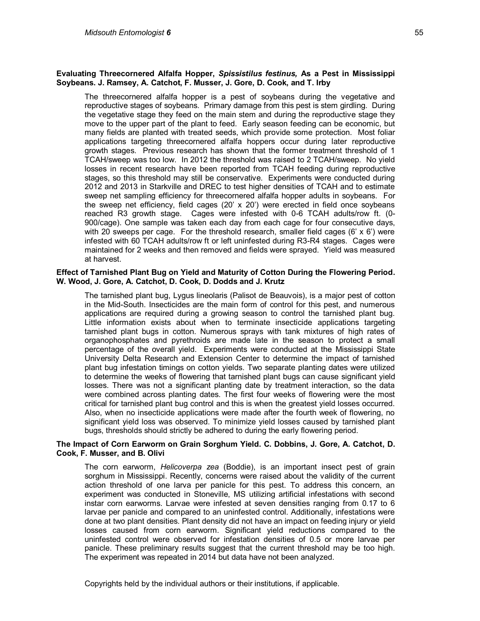## **Evaluating Threecornered Alfalfa Hopper,** *Spissistilus festinus,* **As a Pest in Mississippi Soybeans. J. Ramsey, A. Catchot, F. Musser, J. Gore, D. Cook, and T. Irby**

The threecornered alfalfa hopper is a pest of soybeans during the vegetative and reproductive stages of soybeans. Primary damage from this pest is stem girdling. During the vegetative stage they feed on the main stem and during the reproductive stage they move to the upper part of the plant to feed. Early season feeding can be economic, but many fields are planted with treated seeds, which provide some protection. Most foliar applications targeting threecornered alfalfa hoppers occur during later reproductive growth stages. Previous research has shown that the former treatment threshold of 1 TCAH/sweep was too low. In 2012 the threshold was raised to 2 TCAH/sweep. No yield losses in recent research have been reported from TCAH feeding during reproductive stages, so this threshold may still be conservative. Experiments were conducted during 2012 and 2013 in Starkville and DREC to test higher densities of TCAH and to estimate sweep net sampling efficiency for threecornered alfalfa hopper adults in soybeans. For the sweep net efficiency, field cages (20' x 20') were erected in field once soybeans reached R3 growth stage. Cages were infested with 0-6 TCAH adults/row ft. (0- 900/cage). One sample was taken each day from each cage for four consecutive days, with 20 sweeps per cage. For the threshold research, smaller field cages  $(6 \times 6')$  were infested with 60 TCAH adults/row ft or left uninfested during R3-R4 stages. Cages were maintained for 2 weeks and then removed and fields were sprayed. Yield was measured at harvest.

## **Effect of Tarnished Plant Bug on Yield and Maturity of Cotton During the Flowering Period. W. Wood, J. Gore, A. Catchot, D. Cook, D. Dodds and J. Krutz**

The tarnished plant bug, Lygus lineolaris (Palisot de Beauvois), is a major pest of cotton in the Mid-South. Insecticides are the main form of control for this pest, and numerous applications are required during a growing season to control the tarnished plant bug. Little information exists about when to terminate insecticide applications targeting tarnished plant bugs in cotton. Numerous sprays with tank mixtures of high rates of organophosphates and pyrethroids are made late in the season to protect a small percentage of the overall yield. Experiments were conducted at the Mississippi State University Delta Research and Extension Center to determine the impact of tarnished plant bug infestation timings on cotton yields. Two separate planting dates were utilized to determine the weeks of flowering that tarnished plant bugs can cause significant yield losses. There was not a significant planting date by treatment interaction, so the data were combined across planting dates. The first four weeks of flowering were the most critical for tarnished plant bug control and this is when the greatest yield losses occurred. Also, when no insecticide applications were made after the fourth week of flowering, no significant yield loss was observed. To minimize yield losses caused by tarnished plant bugs, thresholds should strictly be adhered to during the early flowering period.

#### **The Impact of Corn Earworm on Grain Sorghum Yield. C. Dobbins, J. Gore, A. Catchot, D. Cook, F. Musser, and B. Olivi**

The corn earworm, *Helicoverpa zea* (Boddie), is an important insect pest of grain sorghum in Mississippi. Recently, concerns were raised about the validity of the current action threshold of one larva per panicle for this pest. To address this concern, an experiment was conducted in Stoneville, MS utilizing artificial infestations with second instar corn earworms. Larvae were infested at seven densities ranging from 0.17 to 6 larvae per panicle and compared to an uninfested control. Additionally, infestations were done at two plant densities. Plant density did not have an impact on feeding injury or yield losses caused from corn earworm. Significant yield reductions compared to the uninfested control were observed for infestation densities of 0.5 or more larvae per panicle. These preliminary results suggest that the current threshold may be too high. The experiment was repeated in 2014 but data have not been analyzed.

Copyrights held by the individual authors or their institutions, if applicable.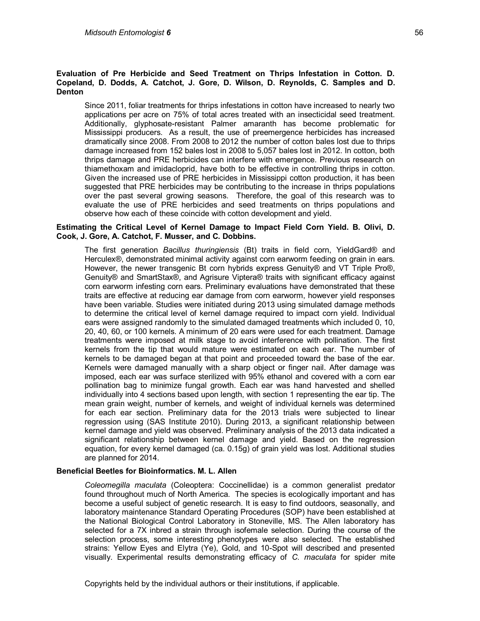## **Evaluation of Pre Herbicide and Seed Treatment on Thrips Infestation in Cotton. D. Copeland, D. Dodds, A. Catchot, J. Gore, D. Wilson, D. Reynolds, C. Samples and D. Denton**

Since 2011, foliar treatments for thrips infestations in cotton have increased to nearly two applications per acre on 75% of total acres treated with an insecticidal seed treatment. Additionally, glyphosate-resistant Palmer amaranth has become problematic for Mississippi producers. As a result, the use of preemergence herbicides has increased dramatically since 2008. From 2008 to 2012 the number of cotton bales lost due to thrips damage increased from 152 bales lost in 2008 to 5,057 bales lost in 2012. In cotton, both thrips damage and PRE herbicides can interfere with emergence. Previous research on thiamethoxam and imidacloprid, have both to be effective in controlling thrips in cotton. Given the increased use of PRE herbicides in Mississippi cotton production, it has been suggested that PRE herbicides may be contributing to the increase in thrips populations over the past several growing seasons. Therefore, the goal of this research was to evaluate the use of PRE herbicides and seed treatments on thrips populations and observe how each of these coincide with cotton development and yield.

## **Estimating the Critical Level of Kernel Damage to Impact Field Corn Yield. B. Olivi, D. Cook, J. Gore, A. Catchot, F. Musser, and C. Dobbins.**

The first generation *Bacillus thuringiensis* (Bt) traits in field corn, YieldGard® and Herculex®, demonstrated minimal activity against corn earworm feeding on grain in ears. However, the newer transgenic Bt corn hybrids express Genuity® and VT Triple Pro®, Genuity® and SmartStax®, and Agrisure Viptera® traits with significant efficacy against corn earworm infesting corn ears. Preliminary evaluations have demonstrated that these traits are effective at reducing ear damage from corn earworm, however yield responses have been variable. Studies were initiated during 2013 using simulated damage methods to determine the critical level of kernel damage required to impact corn yield. Individual ears were assigned randomly to the simulated damaged treatments which included 0, 10, 20, 40, 60, or 100 kernels. A minimum of 20 ears were used for each treatment. Damage treatments were imposed at milk stage to avoid interference with pollination. The first kernels from the tip that would mature were estimated on each ear. The number of kernels to be damaged began at that point and proceeded toward the base of the ear. Kernels were damaged manually with a sharp object or finger nail. After damage was imposed, each ear was surface sterilized with 95% ethanol and covered with a corn ear pollination bag to minimize fungal growth. Each ear was hand harvested and shelled individually into 4 sections based upon length, with section 1 representing the ear tip. The mean grain weight, number of kernels, and weight of individual kernels was determined for each ear section. Preliminary data for the 2013 trials were subjected to linear regression using (SAS Institute 2010). During 2013, a significant relationship between kernel damage and yield was observed. Preliminary analysis of the 2013 data indicated a significant relationship between kernel damage and yield. Based on the regression equation, for every kernel damaged (ca. 0.15g) of grain yield was lost. Additional studies are planned for 2014.

## **Beneficial Beetles for Bioinformatics. M. L. Allen**

*Coleomegilla maculata* (Coleoptera: Coccinellidae) is a common generalist predator found throughout much of North America. The species is ecologically important and has become a useful subject of genetic research. It is easy to find outdoors, seasonally, and laboratory maintenance Standard Operating Procedures (SOP) have been established at the National Biological Control Laboratory in Stoneville, MS. The Allen laboratory has selected for a 7X inbred a strain through isofemale selection. During the course of the selection process, some interesting phenotypes were also selected. The established strains: Yellow Eyes and Elytra (Ye), Gold, and 10-Spot will described and presented visually. Experimental results demonstrating efficacy of *C. maculata* for spider mite

Copyrights held by the individual authors or their institutions, if applicable.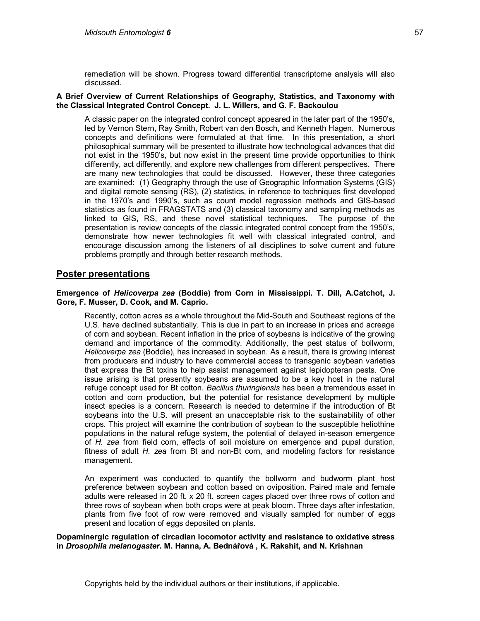remediation will be shown. Progress toward differential transcriptome analysis will also discussed.

## **A Brief Overview of Current Relationships of Geography, Statistics, and Taxonomy with the Classical Integrated Control Concept. J. L. Willers, and G. F. Backoulou**

A classic paper on the integrated control concept appeared in the later part of the 1950's, led by Vernon Stern, Ray Smith, Robert van den Bosch, and Kenneth Hagen. Numerous concepts and definitions were formulated at that time. In this presentation, a short philosophical summary will be presented to illustrate how technological advances that did not exist in the 1950's, but now exist in the present time provide opportunities to think differently, act differently, and explore new challenges from different perspectives. There are many new technologies that could be discussed. However, these three categories are examined: (1) Geography through the use of Geographic Information Systems (GIS) and digital remote sensing (RS), (2) statistics, in reference to techniques first developed in the 1970's and 1990's, such as count model regression methods and GIS-based statistics as found in FRAGSTATS and (3) classical taxonomy and sampling methods as linked to GIS, RS, and these novel statistical techniques. The purpose of the presentation is review concepts of the classic integrated control concept from the 1950's, demonstrate how newer technologies fit well with classical integrated control, and encourage discussion among the listeners of all disciplines to solve current and future problems promptly and through better research methods.

## **Poster presentations**

## **Emergence of** *Helicoverpa zea* **(Boddie) from Corn in Mississippi. T. Dill, A.Catchot, J. Gore, F. Musser, D. Cook, and M. Caprio.**

Recently, cotton acres as a whole throughout the Mid-South and Southeast regions of the U.S. have declined substantially. This is due in part to an increase in prices and acreage of corn and soybean. Recent inflation in the price of soybeans is indicative of the growing demand and importance of the commodity. Additionally, the pest status of bollworm, *Helicoverpa zea* (Boddie), has increased in soybean. As a result, there is growing interest from producers and industry to have commercial access to transgenic soybean varieties that express the Bt toxins to help assist management against lepidopteran pests. One issue arising is that presently soybeans are assumed to be a key host in the natural refuge concept used for Bt cotton. *Bacillus thuringiensis* has been a tremendous asset in cotton and corn production, but the potential for resistance development by multiple insect species is a concern. Research is needed to determine if the introduction of Bt soybeans into the U.S. will present an unacceptable risk to the sustainability of other crops. This project will examine the contribution of soybean to the susceptible heliothine populations in the natural refuge system, the potential of delayed in-season emergence of *H. zea* from field corn, effects of soil moisture on emergence and pupal duration, fitness of adult *H. zea* from Bt and non-Bt corn, and modeling factors for resistance management.

An experiment was conducted to quantify the bollworm and budworm plant host preference between soybean and cotton based on oviposition. Paired male and female adults were released in 20 ft. x 20 ft. screen cages placed over three rows of cotton and three rows of soybean when both crops were at peak bloom. Three days after infestation, plants from five foot of row were removed and visually sampled for number of eggs present and location of eggs deposited on plants.

**Dopaminergic regulation of circadian locomotor activity and resistance to oxidative stress in** *Drosophila melanogaster***. M. Hanna, A. Bednářová , K. Rakshit, and N. Krishnan**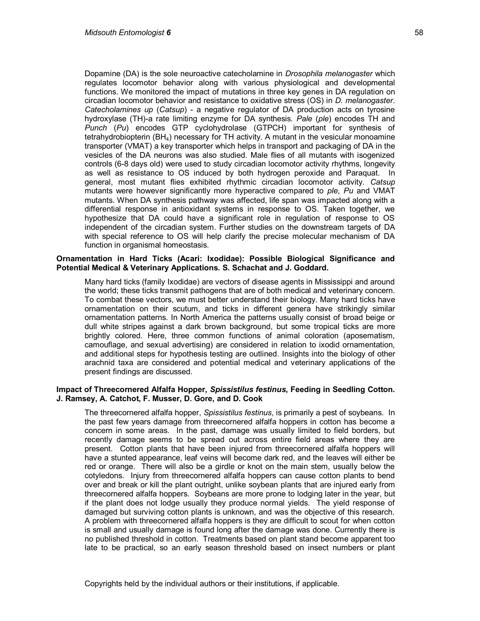Dopamine (DA) is the sole neuroactive catecholamine in *Drosophila melanogaster* which regulates locomotor behavior along with various physiological and developmental functions. We monitored the impact of mutations in three key genes in DA regulation on circadian locomotor behavior and resistance to oxidative stress (OS) in *D. melanogaster*. *Catecholamines up* (*Catsup*) - a negative regulator of DA production acts on tyrosine hydroxylase (TH)-a rate limiting enzyme for DA synthesis. *Pale* (*ple*) encodes TH and *Punch* (*Pu*) encodes GTP cyclohydrolase (GTPCH) important for synthesis of tetrahydrobiopterin (BH4) necessary for TH activity. A mutant in the vesicular monoamine transporter (VMAT) a key transporter which helps in transport and packaging of DA in the vesicles of the DA neurons was also studied. Male flies of all mutants with isogenized controls (6-8 days old) were used to study circadian locomotor activity rhythms, longevity as well as resistance to OS induced by both hydrogen peroxide and Paraquat. In general, most mutant flies exhibited rhythmic circadian locomotor activity. *Catsup* mutants were however significantly more hyperactive compared to *ple*, *Pu* and VMAT mutants. When DA synthesis pathway was affected, life span was impacted along with a differential response in antioxidant systems in response to OS. Taken together, we hypothesize that DA could have a significant role in regulation of response to OS independent of the circadian system. Further studies on the downstream targets of DA with special reference to OS will help clarify the precise molecular mechanism of DA function in organismal homeostasis.

#### **Ornamentation in Hard Ticks (Acari: Ixodidae): Possible Biological Significance and Potential Medical & Veterinary Applications. S. Schachat and J. Goddard.**

Many hard ticks (family Ixodidae) are vectors of disease agents in Mississippi and around the world; these ticks transmit pathogens that are of both medical and veterinary concern. To combat these vectors, we must better understand their biology. Many hard ticks have ornamentation on their scutum, and ticks in different genera have strikingly similar ornamentation patterns. In North America the patterns usually consist of broad beige or dull white stripes against a dark brown background, but some tropical ticks are more brightly colored. Here, three common functions of animal coloration (aposematism, camouflage, and sexual advertising) are considered in relation to ixodid ornamentation, and additional steps for hypothesis testing are outlined. Insights into the biology of other arachnid taxa are considered and potential medical and veterinary applications of the present findings are discussed.

## **Impact of Threecornered Alfalfa Hopper,** *Spissistilus festinus***, Feeding in Seedling Cotton. J. Ramsey, A. Catchot, F. Musser, D. Gore, and D. Cook**

The threecornered alfalfa hopper, *Spissistilus festinus*, is primarily a pest of soybeans. In the past few years damage from threecornered alfalfa hoppers in cotton has become a concern in some areas. In the past, damage was usually limited to field borders, but recently damage seems to be spread out across entire field areas where they are present. Cotton plants that have been injured from threecornered alfalfa hoppers will have a stunted appearance, leaf veins will become dark red, and the leaves will either be red or orange. There will also be a girdle or knot on the main stem, usually below the cotyledons. Injury from threecornered alfalfa hoppers can cause cotton plants to bend over and break or kill the plant outright, unlike soybean plants that are injured early from threecornered alfalfa hoppers. Soybeans are more prone to lodging later in the year, but if the plant does not lodge usually they produce normal yields. The yield response of damaged but surviving cotton plants is unknown, and was the objective of this research. A problem with threecornered alfalfa hoppers is they are difficult to scout for when cotton is small and usually damage is found long after the damage was done. Currently there is no published threshold in cotton. Treatments based on plant stand become apparent too late to be practical, so an early season threshold based on insect numbers or plant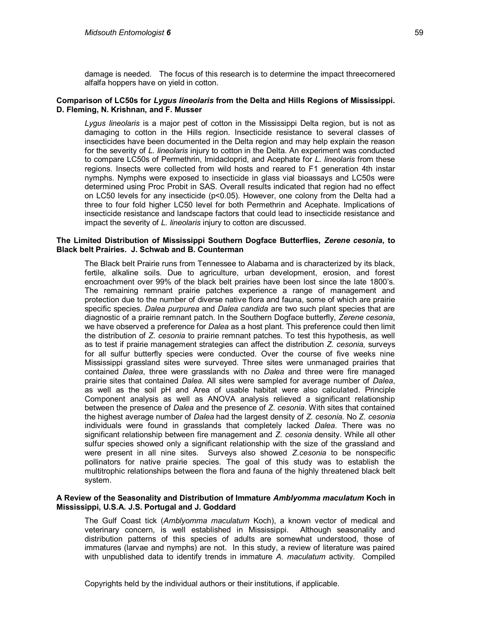damage is needed. The focus of this research is to determine the impact threecornered alfalfa hoppers have on yield in cotton.

## **Comparison of LC50s for** *Lygus lineolaris* **from the Delta and Hills Regions of Mississippi. D. Fleming, N. Krishnan, and F. Musser**

*Lygus lineolaris* is a major pest of cotton in the Mississippi Delta region, but is not as damaging to cotton in the Hills region. Insecticide resistance to several classes of insecticides have been documented in the Delta region and may help explain the reason for the severity of *L. lineolaris* injury to cotton in the Delta. An experiment was conducted to compare LC50s of Permethrin, Imidacloprid, and Acephate for *L. lineolaris* from these regions. Insects were collected from wild hosts and reared to F1 generation 4th instar nymphs. Nymphs were exposed to insecticide in glass vial bioassays and LC50s were determined using Proc Probit in SAS. Overall results indicated that region had no effect on LC50 levels for any insecticide (p<0.05). However, one colony from the Delta had a three to four fold higher LC50 level for both Permethrin and Acephate. Implications of insecticide resistance and landscape factors that could lead to insecticide resistance and impact the severity of *L. lineolaris* injury to cotton are discussed.

## **The Limited Distribution of Mississippi Southern Dogface Butterflies,** *Zerene cesonia***, to Black belt Prairies. J. Schwab and B. Counterman**

The Black belt Prairie runs from Tennessee to Alabama and is characterized by its black, fertile, alkaline soils. Due to agriculture, urban development, erosion, and forest encroachment over 99% of the black belt prairies have been lost since the late 1800's. The remaining remnant prairie patches experience a range of management and protection due to the number of diverse native flora and fauna, some of which are prairie specific species. *Dalea purpurea* and *Dalea candida* are two such plant species that are diagnostic of a prairie remnant patch. In the Southern Dogface butterfly, *Zerene cesonia*, we have observed a preference for *Dalea* as a host plant. This preference could then limit the distribution of *Z. cesonia* to prairie remnant patches. To test this hypothesis, as well as to test if prairie management strategies can affect the distribution *Z. cesonia,* surveys for all sulfur butterfly species were conducted. Over the course of five weeks nine Mississippi grassland sites were surveyed. Three sites were unmanaged prairies that contained *Dalea*, three were grasslands with no *Dalea* and three were fire managed prairie sites that contained *Dalea.* All sites were sampled for average number of *Dalea*, as well as the soil pH and Area of usable habitat were also calculated. Principle Component analysis as well as ANOVA analysis relieved a significant relationship between the presence of *Dalea* and the presence of *Z. cesonia*. With sites that contained the highest average number of *Dalea* had the largest density of *Z. cesonia.* No *Z. cesonia*  individuals were found in grasslands that completely lacked *Dalea*. There was no significant relationship between fire management and *Z. cesonia* density. While all other sulfur species showed only a significant relationship with the size of the grassland and were present in all nine sites. Surveys also showed *Z.cesonia* to be nonspecific pollinators for native prairie species. The goal of this study was to establish the multitrophic relationships between the flora and fauna of the highly threatened black belt system.

## **A Review of the Seasonality and Distribution of Immature** *Amblyomma maculatum* **Koch in Mississippi, U.S.A. J.S. Portugal and J. Goddard**

The Gulf Coast tick (*Amblyomma maculatum* Koch), a known vector of medical and veterinary concern, is well established in Mississippi. Although seasonality and distribution patterns of this species of adults are somewhat understood, those of immatures (larvae and nymphs) are not. In this study, a review of literature was paired with unpublished data to identify trends in immature *A. maculatum* activity. Compiled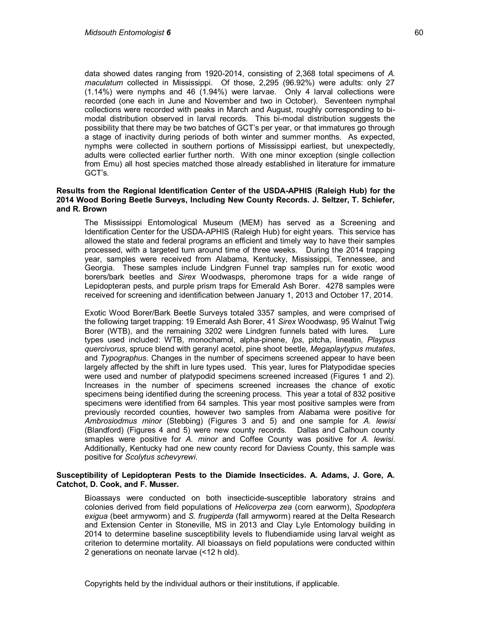data showed dates ranging from 1920-2014, consisting of 2,368 total specimens of *A. maculatum* collected in Mississippi. Of those, 2,295 (96.92%) were adults: only 27 (1.14%) were nymphs and 46 (1.94%) were larvae. Only 4 larval collections were recorded (one each in June and November and two in October). Seventeen nymphal collections were recorded with peaks in March and August, roughly corresponding to bimodal distribution observed in larval records. This bi-modal distribution suggests the possibility that there may be two batches of GCT's per year, or that immatures go through a stage of inactivity during periods of both winter and summer months. As expected, nymphs were collected in southern portions of Mississippi earliest, but unexpectedly, adults were collected earlier further north. With one minor exception (single collection from Emu) all host species matched those already established in literature for immature GCT's.

## **Results from the Regional Identification Center of the USDA-APHIS (Raleigh Hub) for the 2014 Wood Boring Beetle Surveys, Including New County Records. J. Seltzer, T. Schiefer, and R. Brown**

The Mississippi Entomological Museum (MEM) has served as a Screening and Identification Center for the USDA-APHIS (Raleigh Hub) for eight years. This service has allowed the state and federal programs an efficient and timely way to have their samples processed, with a targeted turn around time of three weeks. During the 2014 trapping year, samples were received from Alabama, Kentucky, Mississippi, Tennessee, and Georgia. These samples include Lindgren Funnel trap samples run for exotic wood borers/bark beetles and *Sirex* Woodwasps, pheromone traps for a wide range of Lepidopteran pests, and purple prism traps for Emerald Ash Borer. 4278 samples were received for screening and identification between January 1, 2013 and October 17, 2014.

Exotic Wood Borer/Bark Beetle Surveys totaled 3357 samples, and were comprised of the following target trapping: 19 Emerald Ash Borer, 41 *Sirex* Woodwasp, 95 Walnut Twig Borer (WTB), and the remaining 3202 were Lindgren funnels bated with lures. Lure types used included: WTB, monochamol, alpha-pinene, *Ips*, pitcha, lineatin, *Playpus quercivorus*, spruce blend with geranyl acetol, pine shoot beetle, *Megaplaytypus mutates*, and *Typographus*. Changes in the number of specimens screened appear to have been largely affected by the shift in lure types used. This year, lures for Platypodidae species were used and number of platypodid specimens screened increased (Figures 1 and 2). Increases in the number of specimens screened increases the chance of exotic specimens being identified during the screening process. This year a total of 832 positive specimens were identified from 64 samples. This year most positive samples were from previously recorded counties, however two samples from Alabama were positive for *Ambrosiodmus minor* (Stebbing) (Figures 3 and 5) and one sample for *A. lewisi* (Blandford) (Figures 4 and 5) were new county records. Dallas and Calhoun county smaples were positive for *A. minor* and Coffee County was positive for *A. lewisi*. Additionally, Kentucky had one new county record for Daviess County, this sample was positive for *Scolytus schevyrewi*.

## **Susceptibility of Lepidopteran Pests to the Diamide Insecticides. A. Adams, J. Gore, A. Catchot, D. Cook, and F. Musser.**

Bioassays were conducted on both insecticide-susceptible laboratory strains and colonies derived from field populations of *Helicoverpa zea* (corn earworm), *Spodoptera exigua* (beet armyworm) and *S. frugiperda* (fall armyworm) reared at the Delta Research and Extension Center in Stoneville, MS in 2013 and Clay Lyle Entomology building in 2014 to determine baseline susceptibility levels to flubendiamide using larval weight as criterion to determine mortality. All bioassays on field populations were conducted within 2 generations on neonate larvae (<12 h old).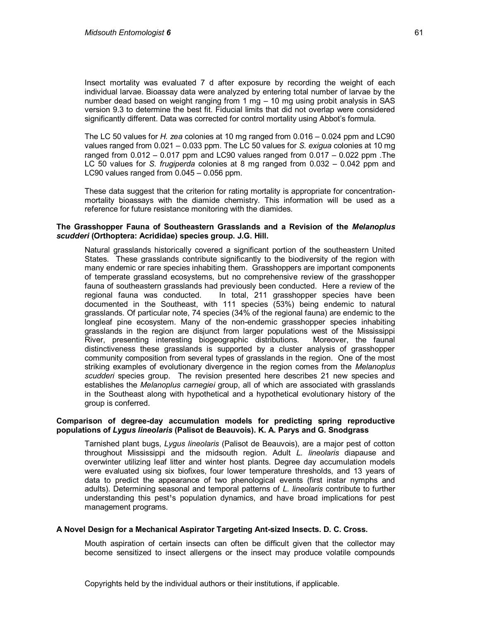Insect mortality was evaluated 7 d after exposure by recording the weight of each individual larvae. Bioassay data were analyzed by entering total number of larvae by the number dead based on weight ranging from 1 mg – 10 mg using probit analysis in SAS version 9.3 to determine the best fit. Fiducial limits that did not overlap were considered significantly different. Data was corrected for control mortality using Abbot's formula.

The LC 50 values for *H. zea* colonies at 10 mg ranged from 0.016 – 0.024 ppm and LC90 values ranged from 0.021 – 0.033 ppm. The LC 50 values for *S. exigua* colonies at 10 mg ranged from  $0.012 - 0.017$  ppm and LC90 values ranged from  $0.017 - 0.022$  ppm. The LC 50 values for *S. frugiperda* colonies at 8 mg ranged from 0.032 – 0.042 ppm and LC90 values ranged from 0.045 – 0.056 ppm.

These data suggest that the criterion for rating mortality is appropriate for concentrationmortality bioassays with the diamide chemistry. This information will be used as a reference for future resistance monitoring with the diamides.

## **The Grasshopper Fauna of Southeastern Grasslands and a Revision of the** *Melanoplus scudderi* **(Orthoptera: Acrididae) species group. J.G. Hill.**

Natural grasslands historically covered a significant portion of the southeastern United States. These grasslands contribute significantly to the biodiversity of the region with many endemic or rare species inhabiting them. Grasshoppers are important components of temperate grassland ecosystems, but no comprehensive review of the grasshopper fauna of southeastern grasslands had previously been conducted. Here a review of the regional fauna was conducted. In total, 211 grasshopper species have been documented in the Southeast, with 111 species (53%) being endemic to natural grasslands. Of particular note, 74 species (34% of the regional fauna) are endemic to the longleaf pine ecosystem. Many of the non-endemic grasshopper species inhabiting grasslands in the region are disjunct from larger populations west of the Mississippi River, presenting interesting biogeographic distributions. Moreover, the faunal distinctiveness these grasslands is supported by a cluster analysis of grasshopper community composition from several types of grasslands in the region. One of the most striking examples of evolutionary divergence in the region comes from the *Melanoplus scudderi* species group. The revision presented here describes 21 new species and establishes the *Melanoplus carnegiei* group, all of which are associated with grasslands in the Southeast along with hypothetical and a hypothetical evolutionary history of the group is conferred.

## **Comparison of degree-day accumulation models for predicting spring reproductive populations of** *Lygus lineolaris* **(Palisot de Beauvois). K. A. Parys and G. Snodgrass**

Tarnished plant bugs, *Lygus lineolaris* (Palisot de Beauvois), are a major pest of cotton throughout Mississippi and the midsouth region. Adult *L. lineolaris* diapause and overwinter utilizing leaf litter and winter host plants. Degree day accumulation models were evaluated using six biofixes, four lower temperature thresholds, and 13 years of data to predict the appearance of two phenological events (first instar nymphs and adults). Determining seasonal and temporal patterns of *L. lineolaris* contribute to further understanding this pest<sup>1</sup>s population dynamics, and have broad implications for pest management programs.

## **A Novel Design for a Mechanical Aspirator Targeting Ant-sized Insects. D. C. Cross.**

Mouth aspiration of certain insects can often be difficult given that the collector may become sensitized to insect allergens or the insect may produce volatile compounds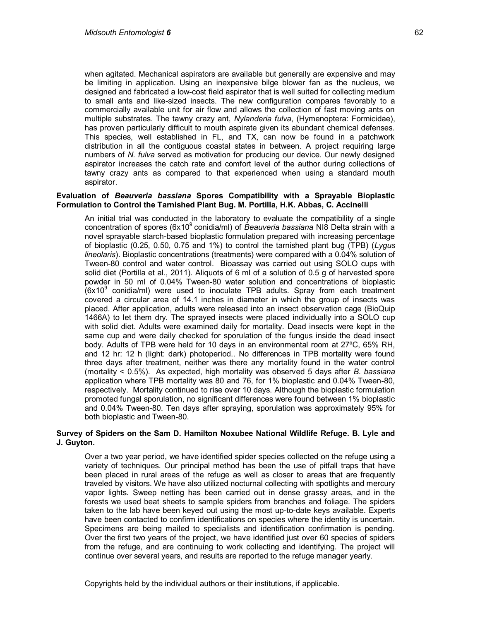when agitated. Mechanical aspirators are available but generally are expensive and may be limiting in application. Using an inexpensive bilge blower fan as the nucleus, we designed and fabricated a low-cost field aspirator that is well suited for collecting medium to small ants and like-sized insects. The new configuration compares favorably to a commercially available unit for air flow and allows the collection of fast moving ants on multiple substrates. The tawny crazy ant, *Nylanderia fulva*, (Hymenoptera: Formicidae), has proven particularly difficult to mouth aspirate given its abundant chemical defenses. This species, well established in FL, and TX, can now be found in a patchwork distribution in all the contiguous coastal states in between. A project requiring large numbers of *N. fulva* served as motivation for producing our device. Our newly designed aspirator increases the catch rate and comfort level of the author during collections of tawny crazy ants as compared to that experienced when using a standard mouth aspirator.

## **Evaluation of** *Beauveria bassiana* **Spores Compatibility with a Sprayable Bioplastic Formulation to Control the Tarnished Plant Bug. M. Portilla, H.K. Abbas, C. Accinelli**

An initial trial was conducted in the laboratory to evaluate the compatibility of a single concentration of spores (6x10<sup>9</sup> conidia/ml) of *Beauveria bassiana* NI8 Delta strain with a novel sprayable starch-based bioplastic formulation prepared with increasing percentage of bioplastic (0.25, 0.50, 0.75 and 1%) to control the tarnished plant bug (TPB) (*Lygus lineolaris*). Bioplastic concentrations (treatments) were compared with a 0.04% solution of Tween-80 control and water control. Bioassay was carried out using SOLO cups with solid diet (Portilla et al., 2011). Aliquots of 6 ml of a solution of 0.5 g of harvested spore powder in 50 ml of 0.04% Tween-80 water solution and concentrations of bioplastic  $(6x10<sup>9</sup>$  conidia/ml) were used to inoculate TPB adults. Spray from each treatment covered a circular area of 14.1 inches in diameter in which the group of insects was placed. After application, adults were released into an insect observation cage (BioQuip 1466A) to let them dry. The sprayed insects were placed individually into a SOLO cup with solid diet. Adults were examined daily for mortality. Dead insects were kept in the same cup and were daily checked for sporulation of the fungus inside the dead insect body. Adults of TPB were held for 10 days in an environmental room at 27ºC, 65% RH, and 12 hr: 12 h (light: dark) photoperiod.. No differences in TPB mortality were found three days after treatment, neither was there any mortality found in the water control (mortality < 0.5%). As expected, high mortality was observed 5 days after *B. bassiana* application where TPB mortality was 80 and 76, for 1% bioplastic and 0.04% Tween-80, respectively. Mortality continued to rise over 10 days. Although the bioplastic formulation promoted fungal sporulation, no significant differences were found between 1% bioplastic and 0.04% Tween-80. Ten days after spraying, sporulation was approximately 95% for both bioplastic and Tween-80.

## **Survey of Spiders on the Sam D. Hamilton Noxubee National Wildlife Refuge. B. Lyle and J. Guyton.**

Over a two year period, we have identified spider species collected on the refuge using a variety of techniques. Our principal method has been the use of pitfall traps that have been placed in rural areas of the refuge as well as closer to areas that are frequently traveled by visitors. We have also utilized nocturnal collecting with spotlights and mercury vapor lights. Sweep netting has been carried out in dense grassy areas, and in the forests we used beat sheets to sample spiders from branches and foliage. The spiders taken to the lab have been keyed out using the most up-to-date keys available. Experts have been contacted to confirm identifications on species where the identity is uncertain. Specimens are being mailed to specialists and identification confirmation is pending. Over the first two years of the project, we have identified just over 60 species of spiders from the refuge, and are continuing to work collecting and identifying. The project will continue over several years, and results are reported to the refuge manager yearly.